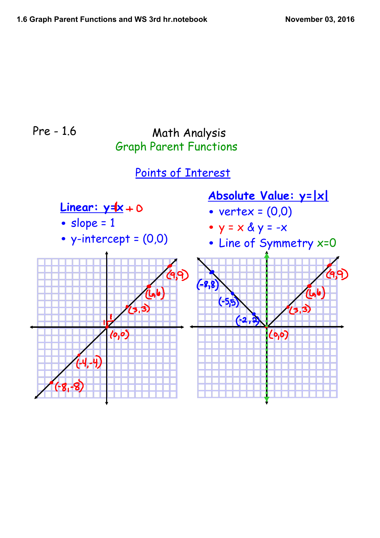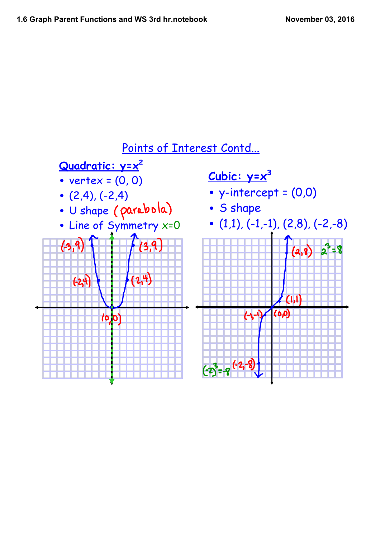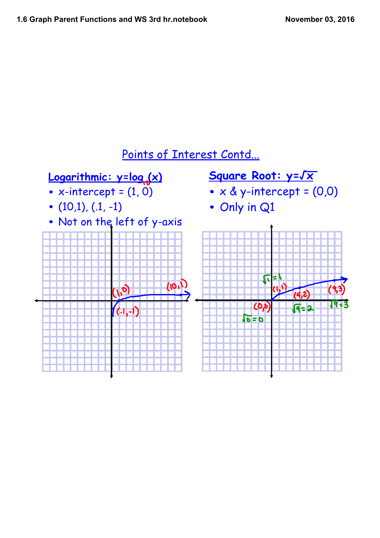

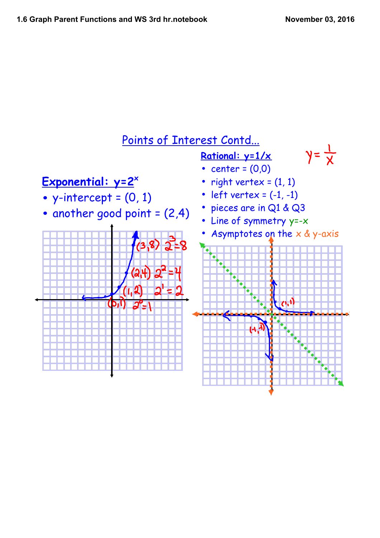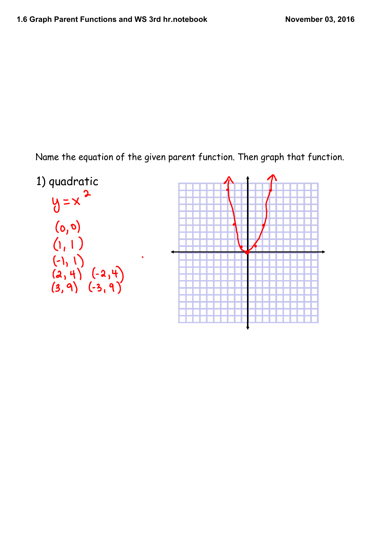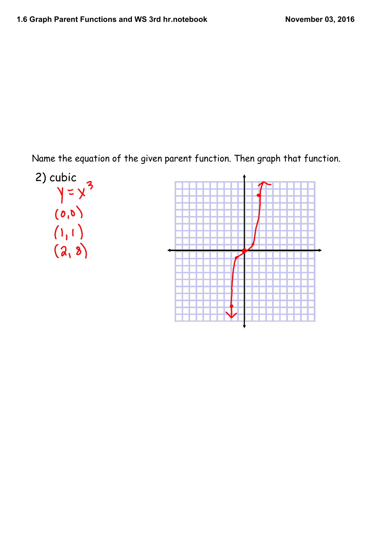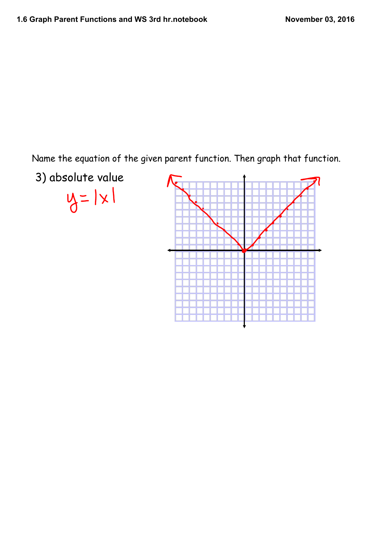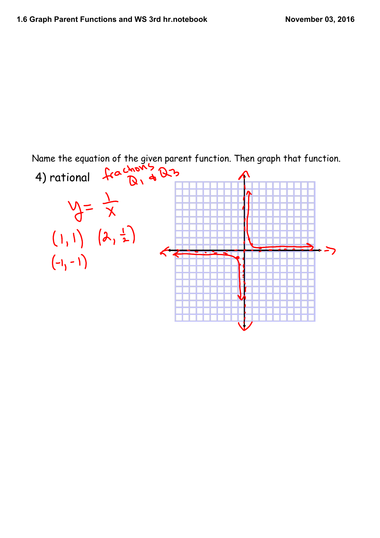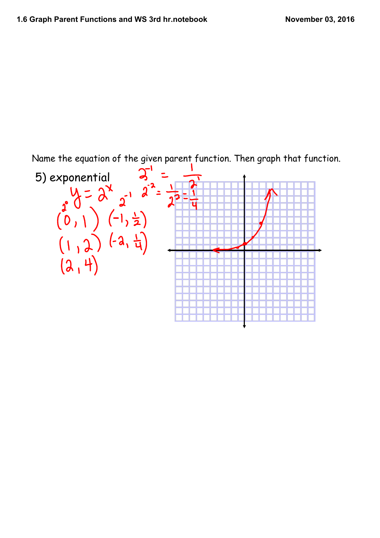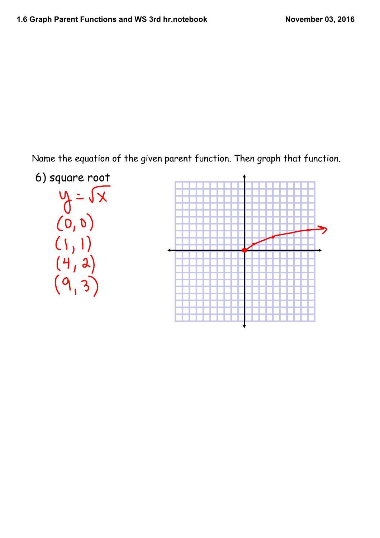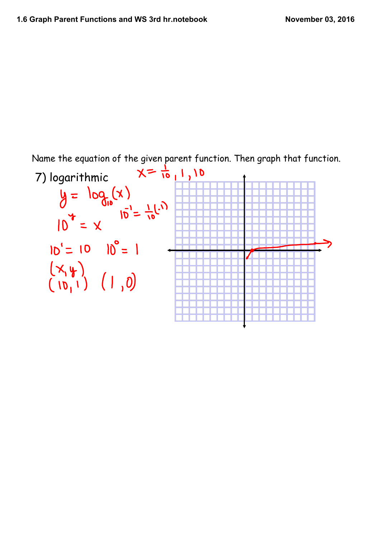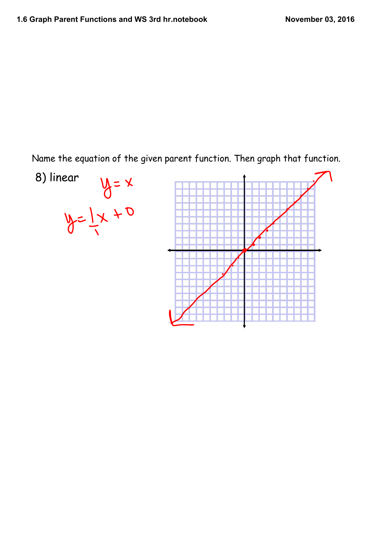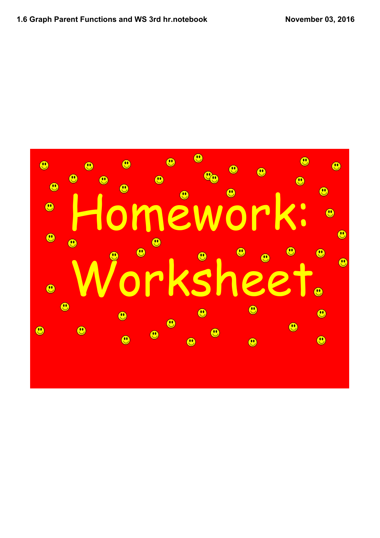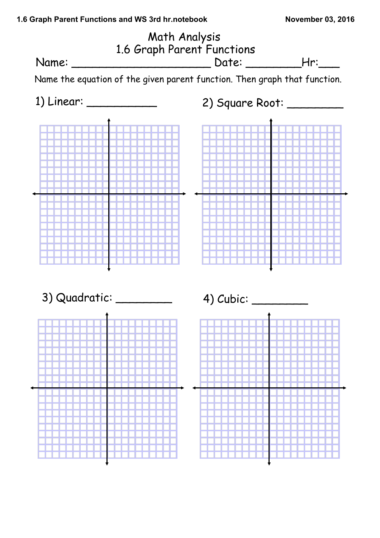